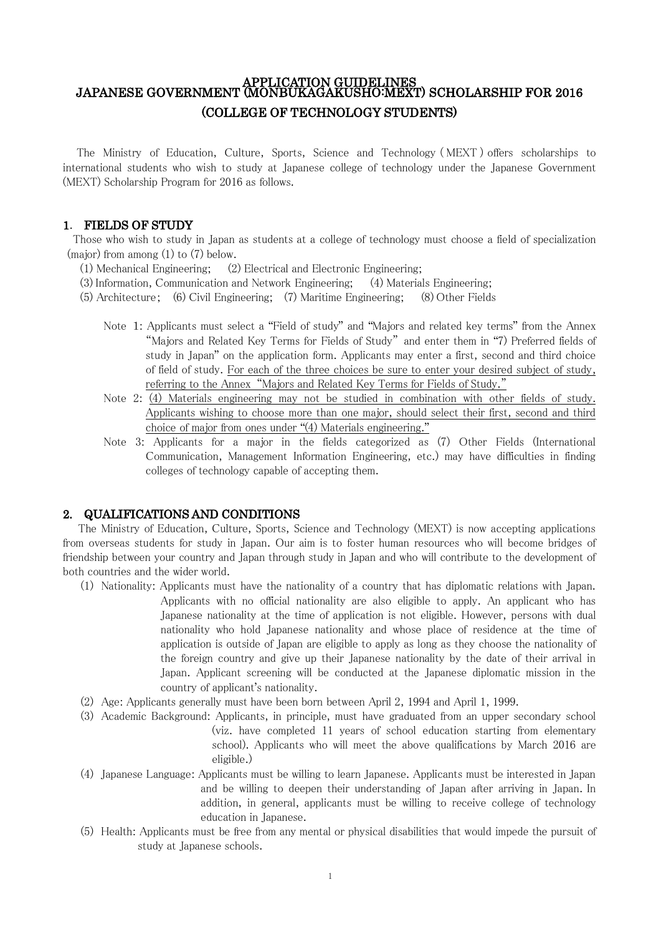# APPLICATION GUIDELINES<br>JAPANESE GOVERNMENT (MONBUKAGAKUSHO:MEXT) SCHOLARSHIP FOR 2016 (COLLEGE OF TECHNOLOGY STUDENTS)

The Ministry of Education, Culture, Sports, Science and Technology ( MEXT ) offers scholarships to international students who wish to study at Japanese college of technology under the Japanese Government (MEXT) Scholarship Program for 2016 as follows.

## 1. FIELDS OF STUDY

Those who wish to study in Japan as students at a college of technology must choose a field of specialization (major) from among (1) to (7) below.

- (1) Mechanical Engineering; (2) Electrical and Electronic Engineering;
- (3) Information, Communication and Network Engineering; (4) Materials Engineering;
- (5) Architecture; (6) Civil Engineering; (7) Maritime Engineering; (8) Other Fields
	- Note 1: Applicants must select a "Field of study" and "Majors and related key terms" from the Annex "Majors and Related Key Terms for Fields of Study" and enter them in "7) Preferred fields of study in Japan" on the application form. Applicants may enter a first, second and third choice of field of study. For each of the three choices be sure to enter your desired subject of study, referring to the Annex "Majors and Related Key Terms for Fields of Study."
	- Note 2: (4) Materials engineering may not be studied in combination with other fields of study. Applicants wishing to choose more than one major, should select their first, second and third choice of major from ones under "(4) Materials engineering."
	- Note 3: Applicants for a major in the fields categorized as (7) Other Fields (International Communication, Management Information Engineering, etc.) may have difficulties in finding colleges of technology capable of accepting them.

#### 2. QUALIFICATIONS AND CONDITIONS

 The Ministry of Education, Culture, Sports, Science and Technology (MEXT) is now accepting applications from overseas students for study in Japan. Our aim is to foster human resources who will become bridges of friendship between your country and Japan through study in Japan and who will contribute to the development of both countries and the wider world.

- (1) Nationality: Applicants must have the nationality of a country that has diplomatic relations with Japan. Applicants with no official nationality are also eligible to apply. An applicant who has Japanese nationality at the time of application is not eligible. However, persons with dual nationality who hold Japanese nationality and whose place of residence at the time of application is outside of Japan are eligible to apply as long as they choose the nationality of the foreign country and give up their Japanese nationality by the date of their arrival in Japan. Applicant screening will be conducted at the Japanese diplomatic mission in the country of applicant's nationality.
- (2) Age: Applicants generally must have been born between April 2, 1994 and April 1, 1999.
- (3) Academic Background: Applicants, in principle, must have graduated from an upper secondary school (viz. have completed 11 years of school education starting from elementary school). Applicants who will meet the above qualifications by March 2016 are eligible.)
- (4) Japanese Language: Applicants must be willing to learn Japanese. Applicants must be interested in Japan and be willing to deepen their understanding of Japan after arriving in Japan. In addition, in general, applicants must be willing to receive college of technology education in Japanese.
- (5) Health: Applicants must be free from any mental or physical disabilities that would impede the pursuit of study at Japanese schools.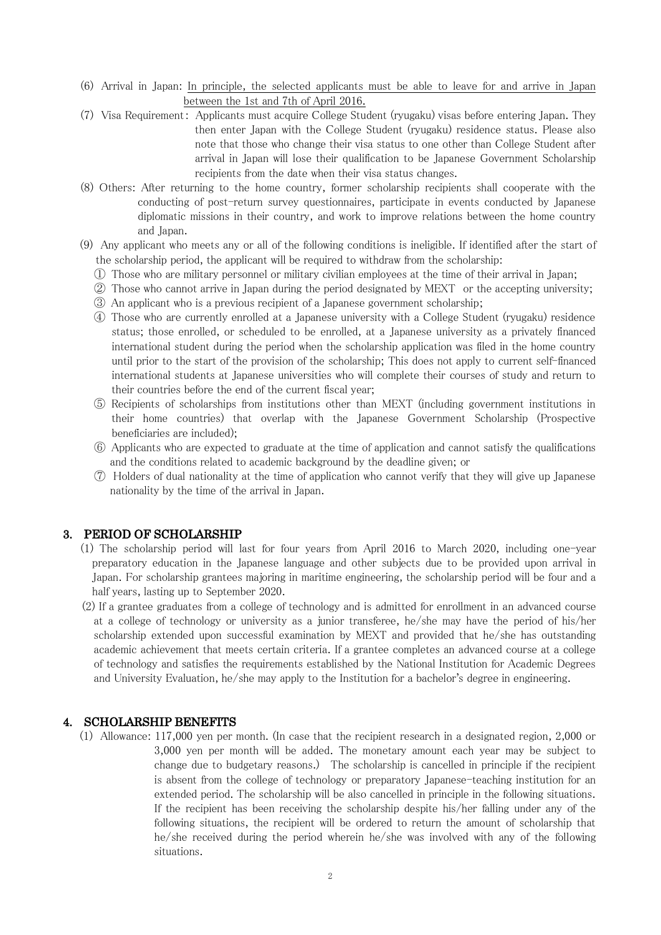- (6) Arrival in Japan: In principle, the selected applicants must be able to leave for and arrive in Japan between the 1st and 7th of April 2016.
- (7) Visa Requirement: Applicants must acquire College Student (ryugaku) visas before entering Japan. They then enter Japan with the College Student (ryugaku) residence status. Please also note that those who change their visa status to one other than College Student after arrival in Japan will lose their qualification to be Japanese Government Scholarship recipients from the date when their visa status changes.
- (8) Others: After returning to the home country, former scholarship recipients shall cooperate with the conducting of post-return survey questionnaires, participate in events conducted by Japanese diplomatic missions in their country, and work to improve relations between the home country and Japan.
- (9) Any applicant who meets any or all of the following conditions is ineligible. If identified after the start of the scholarship period, the applicant will be required to withdraw from the scholarship:
	- ① Those who are military personnel or military civilian employees at the time of their arrival in Japan;
	- ② Those who cannot arrive in Japan during the period designated by MEXT or the accepting university; ③ An applicant who is a previous recipient of a Japanese government scholarship;
	- ④ Those who are currently enrolled at a Japanese university with a College Student (ryugaku) residence status; those enrolled, or scheduled to be enrolled, at a Japanese university as a privately financed international student during the period when the scholarship application was filed in the home country until prior to the start of the provision of the scholarship; This does not apply to current self-financed international students at Japanese universities who will complete their courses of study and return to their countries before the end of the current fiscal year;
	- ⑤ Recipients of scholarships from institutions other than MEXT (including government institutions in their home countries) that overlap with the Japanese Government Scholarship (Prospective beneficiaries are included);
	- ⑥ Applicants who are expected to graduate at the time of application and cannot satisfy the qualifications and the conditions related to academic background by the deadline given; or
	- ⑦ Holders of dual nationality at the time of application who cannot verify that they will give up Japanese nationality by the time of the arrival in Japan.

#### 3. PERIOD OF SCHOLARSHIP

- (1) The scholarship period will last for four years from April 2016 to March 2020, including one-year preparatory education in the Japanese language and other subjects due to be provided upon arrival in Japan. For scholarship grantees majoring in maritime engineering, the scholarship period will be four and a half years, lasting up to September 2020.
- (2) If a grantee graduates from a college of technology and is admitted for enrollment in an advanced course at a college of technology or university as a junior transferee, he/she may have the period of his/her scholarship extended upon successful examination by MEXT and provided that he/she has outstanding academic achievement that meets certain criteria. If a grantee completes an advanced course at a college of technology and satisfies the requirements established by the National Institution for Academic Degrees and University Evaluation, he/she may apply to the Institution for a bachelor's degree in engineering.

#### 4. SCHOLARSHIP BENEFITS

(1) Allowance: 117,000 yen per month. (In case that the recipient research in a designated region, 2,000 or 3,000 yen per month will be added. The monetary amount each year may be subject to change due to budgetary reasons.) The scholarship is cancelled in principle if the recipient is absent from the college of technology or preparatory Japanese-teaching institution for an extended period. The scholarship will be also cancelled in principle in the following situations. If the recipient has been receiving the scholarship despite his/her falling under any of the following situations, the recipient will be ordered to return the amount of scholarship that he/she received during the period wherein he/she was involved with any of the following situations.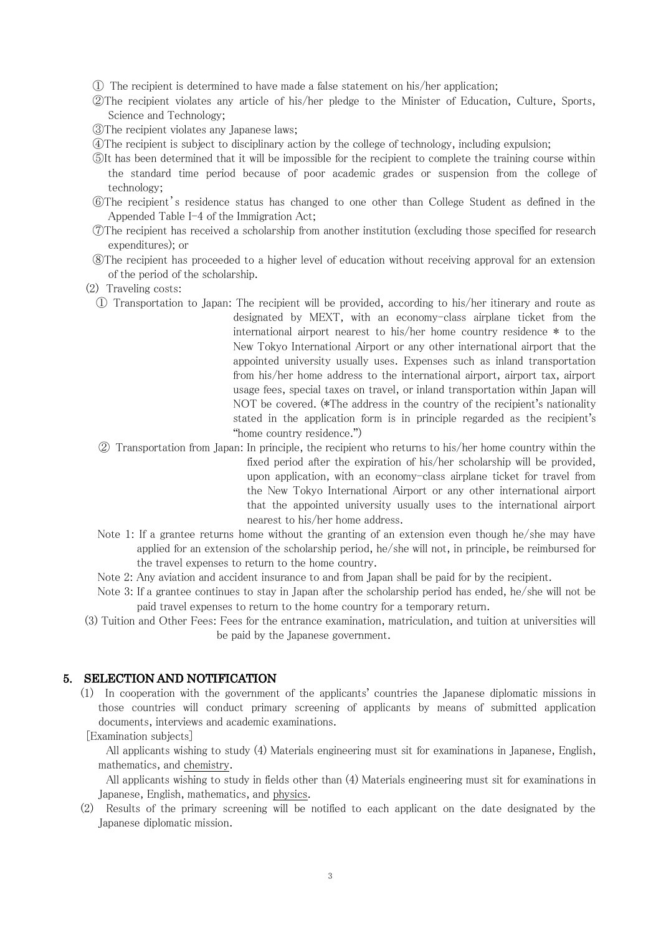① The recipient is determined to have made a false statement on his/her application;

- ②The recipient violates any article of his/her pledge to the Minister of Education, Culture, Sports, Science and Technology;
- ③The recipient violates any Japanese laws;
- ④The recipient is subject to disciplinary action by the college of technology, including expulsion;
- ⑤It has been determined that it will be impossible for the recipient to complete the training course within the standard time period because of poor academic grades or suspension from the college of technology;
- ⑥The recipient's residence status has changed to one other than College Student as defined in the Appended Table I-4 of the Immigration Act;
- ⑦The recipient has received a scholarship from another institution (excluding those specified for research expenditures); or
- ⑧The recipient has proceeded to a higher level of education without receiving approval for an extension of the period of the scholarship.
- (2) Traveling costs:
	- ① Transportation to Japan: The recipient will be provided, according to his/her itinerary and route as designated by MEXT, with an economy-class airplane ticket from the international airport nearest to his/her home country residence \* to the New Tokyo International Airport or any other international airport that the appointed university usually uses. Expenses such as inland transportation from his/her home address to the international airport, airport tax, airport usage fees, special taxes on travel, or inland transportation within Japan will NOT be covered. (\*The address in the country of the recipient's nationality stated in the application form is in principle regarded as the recipient's "home country residence.")
	- ② Transportation from Japan: In principle, the recipient who returns to his/her home country within the fixed period after the expiration of his/her scholarship will be provided, upon application, with an economy-class airplane ticket for travel from the New Tokyo International Airport or any other international airport that the appointed university usually uses to the international airport nearest to his/her home address.
	- Note 1: If a grantee returns home without the granting of an extension even though he/she may have applied for an extension of the scholarship period, he/she will not, in principle, be reimbursed for the travel expenses to return to the home country.
	- Note 2: Any aviation and accident insurance to and from Japan shall be paid for by the recipient.
	- Note 3: If a grantee continues to stay in Japan after the scholarship period has ended, he/she will not be paid travel expenses to return to the home country for a temporary return.
- (3) Tuition and Other Fees: Fees for the entrance examination, matriculation, and tuition at universities will be paid by the Japanese government.

#### 5. SELECTION AND NOTIFICATION

(1) In cooperation with the government of the applicants' countries the Japanese diplomatic missions in those countries will conduct primary screening of applicants by means of submitted application documents, interviews and academic examinations.

[Examination subjects]

All applicants wishing to study (4) Materials engineering must sit for examinations in Japanese, English, mathematics, and chemistry.

All applicants wishing to study in fields other than (4) Materials engineering must sit for examinations in Japanese, English, mathematics, and physics.

(2) Results of the primary screening will be notified to each applicant on the date designated by the Japanese diplomatic mission.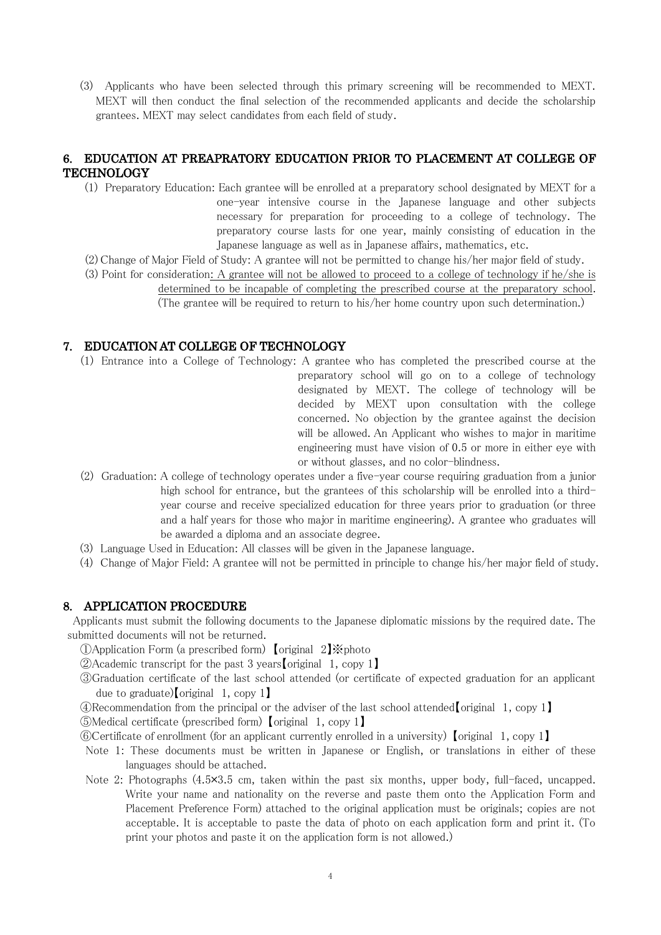(3) Applicants who have been selected through this primary screening will be recommended to MEXT. MEXT will then conduct the final selection of the recommended applicants and decide the scholarship grantees. MEXT may select candidates from each field of study.

## 6. EDUCATION AT PREAPRATORY EDUCATION PRIOR TO PLACEMENT AT COLLEGE OF **TECHNOLOGY**

(1) Preparatory Education: Each grantee will be enrolled at a preparatory school designated by MEXT for a one-year intensive course in the Japanese language and other subjects necessary for preparation for proceeding to a college of technology. The preparatory course lasts for one year, mainly consisting of education in the Japanese language as well as in Japanese affairs, mathematics, etc.

(2) Change of Major Field of Study: A grantee will not be permitted to change his/her major field of study.

(3) Point for consideration: A grantee will not be allowed to proceed to a college of technology if he/she is determined to be incapable of completing the prescribed course at the preparatory school.

(The grantee will be required to return to his/her home country upon such determination.)

#### 7. EDUCATION AT COLLEGE OF TECHNOLOGY

- (1) Entrance into a College of Technology: A grantee who has completed the prescribed course at the preparatory school will go on to a college of technology designated by MEXT. The college of technology will be decided by MEXT upon consultation with the college concerned. No objection by the grantee against the decision will be allowed. An Applicant who wishes to major in maritime engineering must have vision of 0.5 or more in either eye with or without glasses, and no color-blindness.
- (2) Graduation: A college of technology operates under a five-year course requiring graduation from a junior high school for entrance, but the grantees of this scholarship will be enrolled into a thirdyear course and receive specialized education for three years prior to graduation (or three and a half years for those who major in maritime engineering). A grantee who graduates will be awarded a diploma and an associate degree.
- (3) Language Used in Education: All classes will be given in the Japanese language.
- (4) Change of Major Field: A grantee will not be permitted in principle to change his/her major field of study.

#### 8. APPLICATION PROCEDURE

Applicants must submit the following documents to the Japanese diplomatic missions by the required date. The submitted documents will not be returned.

①Application Form (a prescribed form) 【original 2】※photo

②Academic transcript for the past 3 years【original 1, copy 1】

③Graduation certificate of the last school attended (or certificate of expected graduation for an applicant due to graduate)【original 1, copy 1】

 $\mathcal{L}$ Recommendation from the principal or the adviser of the last school attended [original 1, copy 1]

⑤Medical certificate (prescribed form) 【original 1, copy 1】

⑥Certificate of enrollment (for an applicant currently enrolled in a university) 【original 1, copy 1】

- Note 1: These documents must be written in Japanese or English, or translations in either of these languages should be attached.
- Note 2: Photographs (4.5×3.5 cm, taken within the past six months, upper body, full-faced, uncapped. Write your name and nationality on the reverse and paste them onto the Application Form and Placement Preference Form) attached to the original application must be originals; copies are not acceptable. It is acceptable to paste the data of photo on each application form and print it. (To print your photos and paste it on the application form is not allowed.)